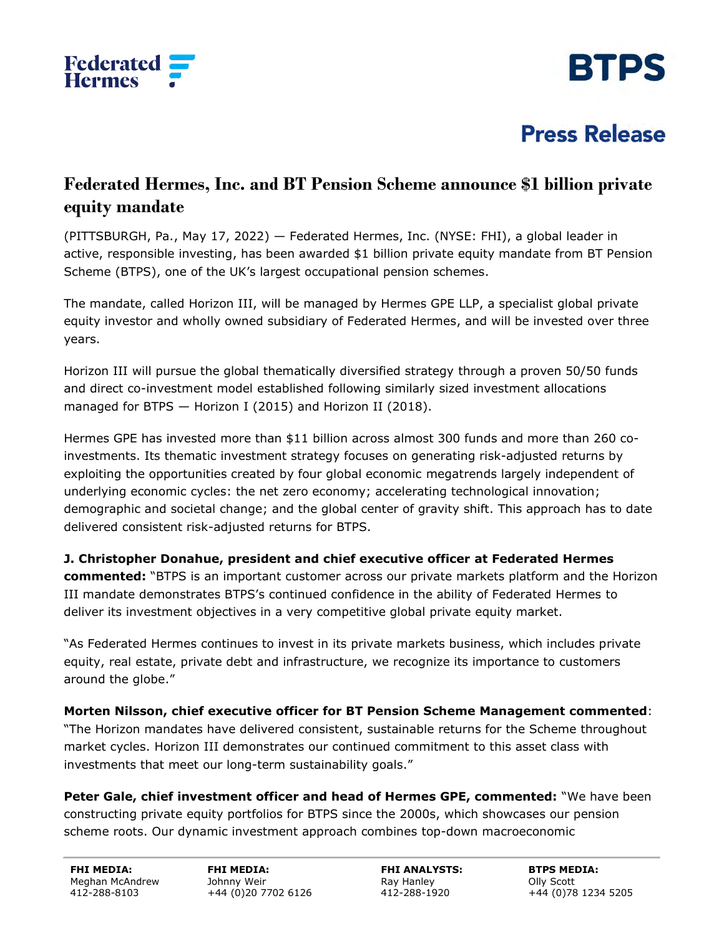



## **Press Release**

## **Federated Hermes, Inc. and BT Pension Scheme announce \$1 billion private equity mandate**

(PITTSBURGH, Pa., May 17, 2022) — Federated Hermes, Inc. (NYSE: FHI), a global leader in active, responsible investing, has been awarded \$1 billion private equity mandate from BT Pension Scheme (BTPS), one of the UK's largest occupational pension schemes.

The mandate, called Horizon III, will be managed by Hermes GPE LLP, a specialist global private equity investor and wholly owned subsidiary of Federated Hermes, and will be invested over three years.

Horizon III will pursue the global thematically diversified strategy through a proven 50/50 funds and direct co-investment model established following similarly sized investment allocations managed for BTPS — Horizon I (2015) and Horizon II (2018).

Hermes GPE has invested more than \$11 billion across almost 300 funds and more than 260 coinvestments. Its thematic investment strategy focuses on generating risk-adjusted returns by exploiting the opportunities created by four global economic megatrends largely independent of underlying economic cycles: the net zero economy; accelerating technological innovation; demographic and societal change; and the global center of gravity shift. This approach has to date delivered consistent risk-adjusted returns for BTPS.

**J. Christopher Donahue, president and chief executive officer at Federated Hermes commented:** "BTPS is an important customer across our private markets platform and the Horizon III mandate demonstrates BTPS's continued confidence in the ability of Federated Hermes to deliver its investment objectives in a very competitive global private equity market.

"As Federated Hermes continues to invest in its private markets business, which includes private equity, real estate, private debt and infrastructure, we recognize its importance to customers around the globe."

 **Morten Nilsson, chief executive officer for BT Pension Scheme Management commented**: "The Horizon mandates have delivered consistent, sustainable returns for the Scheme throughout market cycles. Horizon III demonstrates our continued commitment to this asset class with investments that meet our long-term sustainability goals."

**Peter Gale, chief investment officer and head of Hermes GPE, commented:** "We have been constructing private equity portfolios for BTPS since the 2000s, which showcases our pension scheme roots. Our dynamic investment approach combines top-down macroeconomic

Johnny Weir **FHI MEDIA: FHI MEDIA: FHI ANALYSTS: BTPS MEDIA:**  412-288-8103 +44 (0)20 7702 6126 412-288-1920

Meghan McAndrew Johnny Weir Ray Hanley Olly Scott <br>412-288-8103 +44 (0)20 7702 6126 412-288-1920 +44 (0)78 1234 5205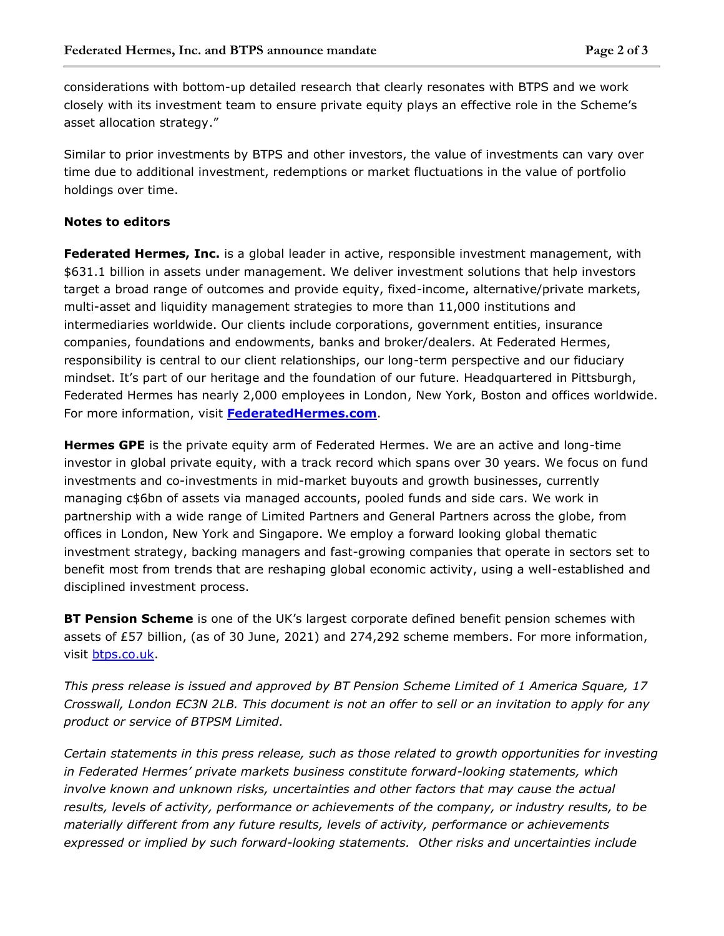closely with its investment team to ensure private equity plays an effective role in the Scheme's considerations with bottom-up detailed research that clearly resonates with BTPS and we work asset allocation strategy."

 Similar to prior investments by BTPS and other investors, the value of investments can vary over time due to additional investment, redemptions or market fluctuations in the value of portfolio holdings over time.

## **Notes to editors**

**Federated Hermes, Inc.** is a global leader in active, responsible investment management, with \$631.1 billion in assets under management. We deliver investment solutions that help investors target a broad range of outcomes and provide equity, fixed-income, alternative/private markets, multi-asset and liquidity management strategies to more than 11,000 institutions and intermediaries worldwide. Our clients include corporations, government entities, insurance companies, foundations and endowments, banks and broker/dealers. At Federated Hermes, responsibility is central to our client relationships, our long-term perspective and our fiduciary mindset. It's part of our heritage and the foundation of our future. Headquartered in Pittsburgh, Federated Hermes has nearly 2,000 employees in London, New York, Boston and offices worldwide. For more information, visit **[FederatedHermes.com](https://FederatedHermes.com)**.

 managing c\$6bn of assets via managed accounts, pooled funds and side cars. We work in partnership with a wide range of Limited Partners and General Partners across the globe, from benefit most from trends that are reshaping global economic activity, using a well-established and **Hermes GPE** is the private equity arm of Federated Hermes. We are an active and long-time investor in global private equity, with a track record which spans over 30 years. We focus on fund investments and co-investments in mid-market buyouts and growth businesses, currently offices in London, New York and Singapore. We employ a forward looking global thematic investment strategy, backing managers and fast-growing companies that operate in sectors set to disciplined investment process.

**BT Pension Scheme** is one of the UK's largest corporate defined benefit pension schemes with assets of £57 billion, (as of 30 June, 2021) and 274,292 scheme members. For more information, visit [btps.co.uk](https://btps.co.uk).

*This press release is issued and approved by BT Pension Scheme Limited of 1 America Square, 17 Crosswall, London EC3N 2LB. This document is not an offer to sell or an invitation to apply for any product or service of BTPSM Limited.* 

 *in Federated Hermes' private markets business constitute forward-looking statements, which Certain statements in this press release, such as those related to growth opportunities for investing involve known and unknown risks, uncertainties and other factors that may cause the actual results, levels of activity, performance or achievements of the company, or industry results, to be materially different from any future results, levels of activity, performance or achievements expressed or implied by such forward-looking statements. Other risks and uncertainties include*